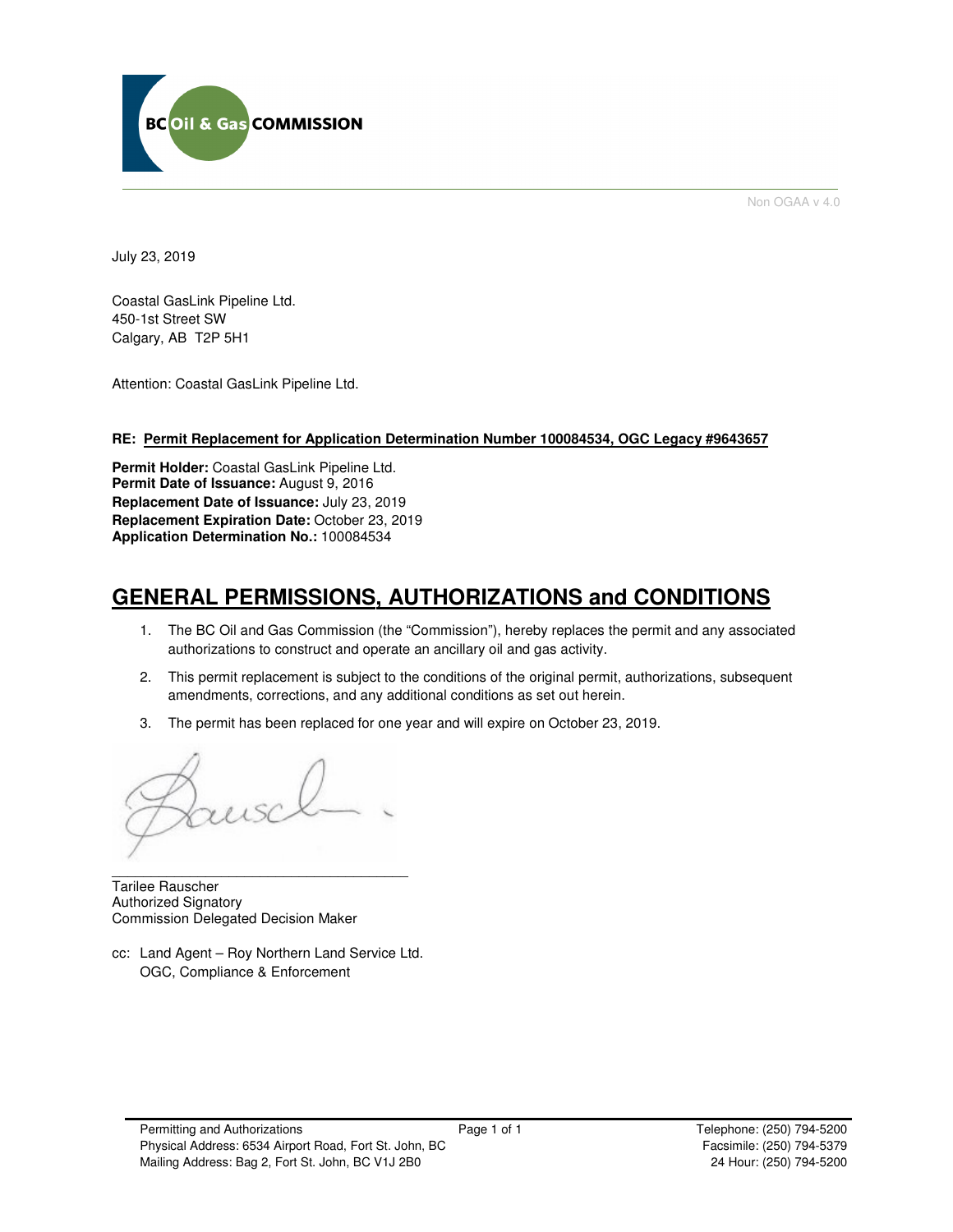

Non OGAA v 4.0

July 23, 2019

Coastal GasLink Pipeline Ltd. 450-1st Street SW Calgary, AB T2P 5H1

Attention: Coastal GasLink Pipeline Ltd.

## **RE: Permit Replacement for Application Determination Number 100084534, OGC Legacy #9643657**

**Permit Holder:** Coastal GasLink Pipeline Ltd. **Permit Date of Issuance:** August 9, 2016 **Replacement Date of Issuance:** July 23, 2019 **Replacement Expiration Date:** October 23, 2019 **Application Determination No.:** 100084534

# **GENERAL PERMISSIONS, AUTHORIZATIONS and CONDITIONS**

- 1. The BC Oil and Gas Commission (the "Commission"), hereby replaces the permit and any associated authorizations to construct and operate an ancillary oil and gas activity.
- 2. This permit replacement is subject to the conditions of the original permit, authorizations, subsequent amendments, corrections, and any additional conditions as set out herein.
- 3. The permit has been replaced for one year and will expire on October 23, 2019.

\_\_\_\_\_\_\_\_\_\_\_\_\_\_\_\_\_\_\_\_\_\_\_\_\_\_\_\_\_\_\_\_\_\_\_\_\_\_

Tarilee Rauscher Authorized Signatory Commission Delegated Decision Maker

cc: Land Agent – Roy Northern Land Service Ltd. OGC, Compliance & Enforcement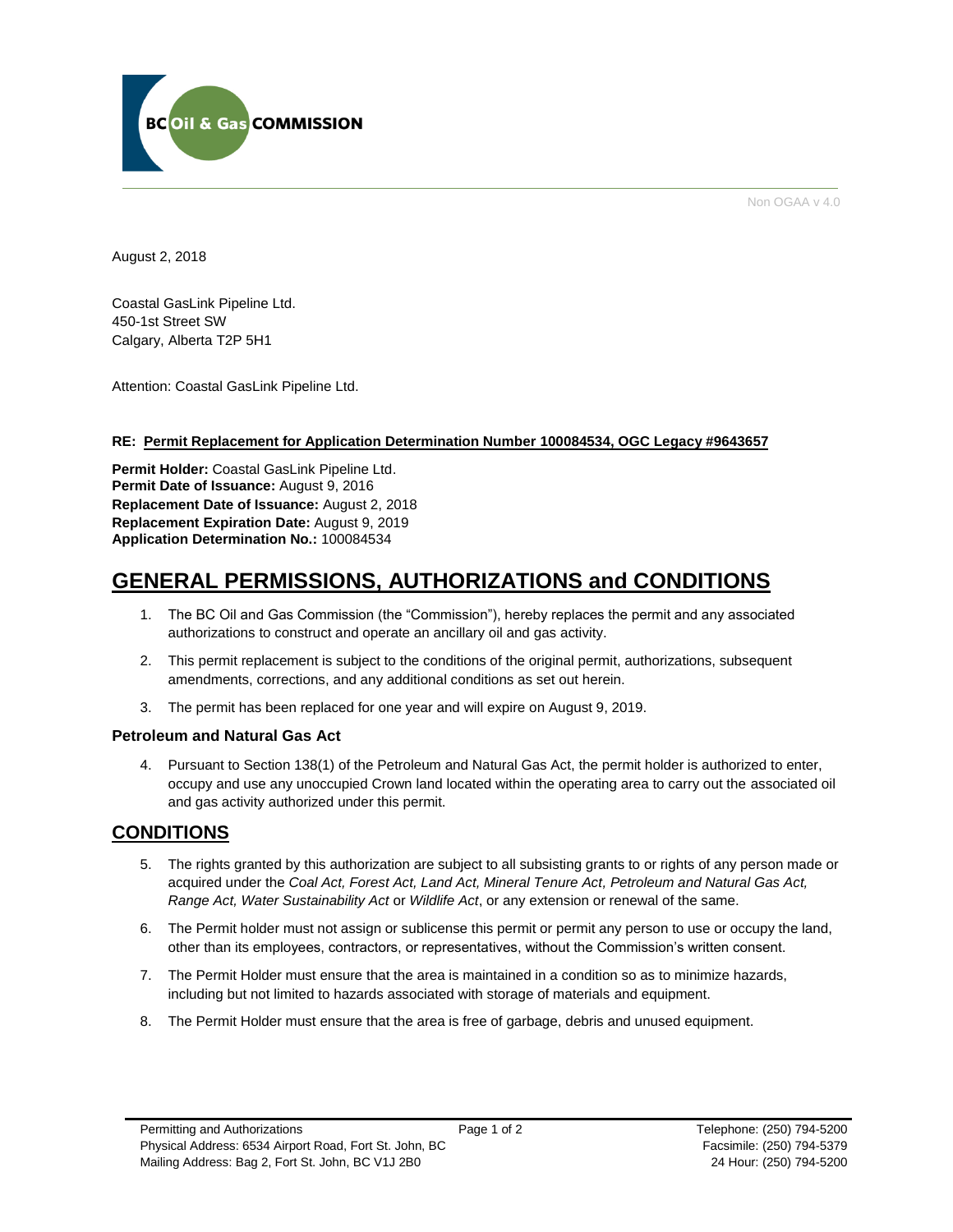

Non OGAA v 4.0

August 2, 2018

Coastal GasLink Pipeline Ltd. 450-1st Street SW Calgary, Alberta T2P 5H1

Attention: Coastal GasLink Pipeline Ltd.

## **RE: Permit Replacement for Application Determination Number 100084534, OGC Legacy #9643657**

**Permit Holder:** Coastal GasLink Pipeline Ltd. **Permit Date of Issuance:** August 9, 2016 **Replacement Date of Issuance:** August 2, 2018 **Replacement Expiration Date:** August 9, 2019 **Application Determination No.:** 100084534

## **GENERAL PERMISSIONS, AUTHORIZATIONS and CONDITIONS**

- 1. The BC Oil and Gas Commission (the "Commission"), hereby replaces the permit and any associated authorizations to construct and operate an ancillary oil and gas activity.
- 2. This permit replacement is subject to the conditions of the original permit, authorizations, subsequent amendments, corrections, and any additional conditions as set out herein.
- 3. The permit has been replaced for one year and will expire on August 9, 2019.

## **Petroleum and Natural Gas Act**

4. Pursuant to Section 138(1) of the Petroleum and Natural Gas Act, the permit holder is authorized to enter, occupy and use any unoccupied Crown land located within the operating area to carry out the associated oil and gas activity authorized under this permit.

## **CONDITIONS**

- 5. The rights granted by this authorization are subject to all subsisting grants to or rights of any person made or acquired under the *Coal Act, Forest Act, Land Act, Mineral Tenure Act, Petroleum and Natural Gas Act, Range Act, Water Sustainability Act* or *Wildlife Act*, or any extension or renewal of the same.
- 6. The Permit holder must not assign or sublicense this permit or permit any person to use or occupy the land, other than its employees, contractors, or representatives, without the Commission's written consent.
- 7. The Permit Holder must ensure that the area is maintained in a condition so as to minimize hazards, including but not limited to hazards associated with storage of materials and equipment.
- 8. The Permit Holder must ensure that the area is free of garbage, debris and unused equipment.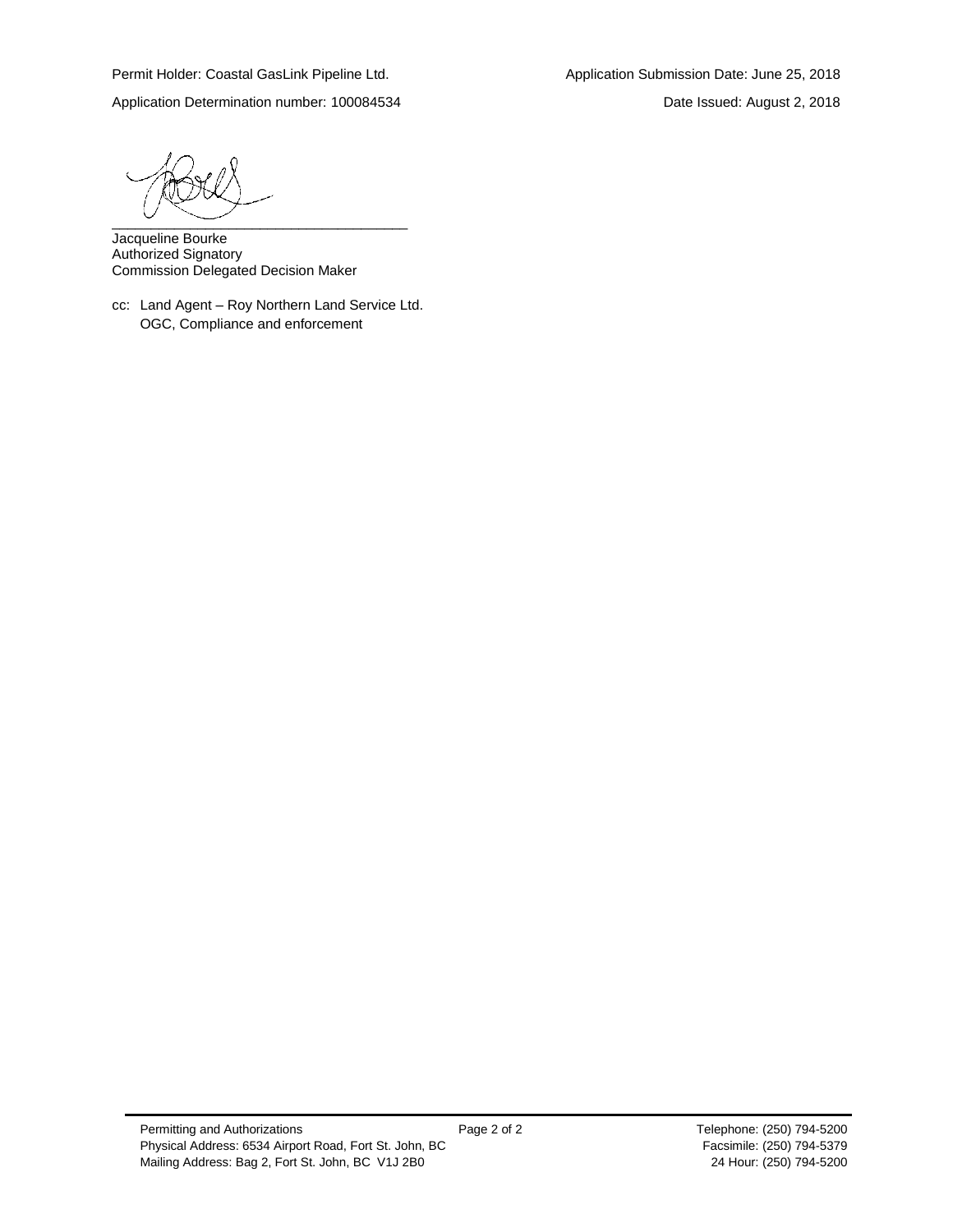Application Determination number: 100084534 Date Issued: August 2, 2018

\_\_\_\_\_\_\_\_\_\_\_\_\_\_\_\_\_\_\_\_\_\_\_\_\_\_\_\_\_\_\_\_\_\_\_\_\_\_

Jacqueline Bourke Authorized Signatory Commission Delegated Decision Maker

cc: Land Agent – Roy Northern Land Service Ltd. OGC, Compliance and enforcement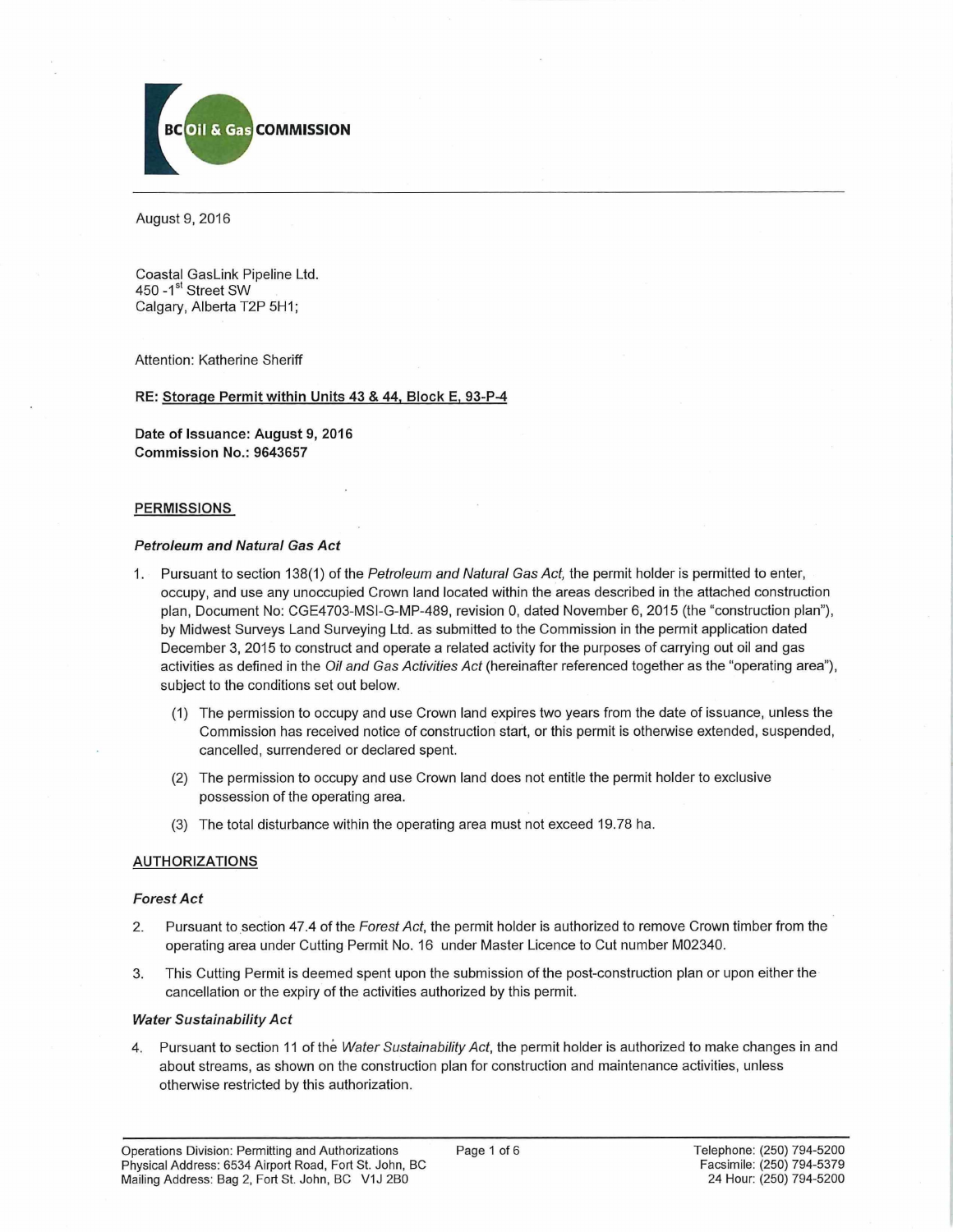

August 9, 2016

Coastal GasLink Pipeline Ltd. 450 - 1<sup>st</sup> Street SW Calgary, Alberta T2P 5H1;

Attention: Katherine Sheriff

## RE: Storage Permit within Units 43 & 44. Block E. 93-P-4

Date of Issuance: August 9, 2016 Commission No.: 9643657

## PERMISSIONS

## *Petroleum and Natural Gas Act*

- 1. Pursuant to section 138(1) of the *Petroleum and Natural Gas Act,* the permit holder is permitted to enter, occupy, and use any unoccupied Crown land located within the areas described in the attached construction plan, Document No: CGE4703-MSI-G-MP-489, revision 0, dated November 6, 2015 (the "construction plan"), by Midwest Surveys Land Surveying Ltd. as submitted to the Commission in the permit application dated December 3, 2015 to construct and operate a related activity for the purposes of carrying out oil and gas activities as defined in the *Oil and Gas Activities Act* (hereinafter referenced together as the "operating area"), subject to the conditions set out below.
	- (1) The permission to occupy and use Crown land expires two years from the date of issuance, unless the Commission has received notice of construction start, or this permit is otherwise extended, suspended, cancelled, surrendered or declared spent.
	- (2) The permission to occupy and use Crown land does not entitle the permit holder to exclusive possession of the operating area.
	- (3) The total disturbance within the operating area must not exceed 19.78 ha.

## AUTHORIZATIONS

#### *Forest Act*

- 2. Pursuant to section 47.4 of the *Forest Act,* the permit holder is authorized to remove Crown timber from the operating area under Cutting Permit No. 16 under Master Licence to Cut number M02340.
- 3. This Cutting Permit is deemed spent upon the submission of the post-construction plan or upon either the cancellation or the expiry of the activities authorized by this permit.

#### Wafer *Sustainability Act*

4. Pursuant to section 11 of the *Water Sustainability Act,* the permit holder is authorized to make changes in and about streams, as shown on the construction plan for construction and maintenance activities, unless otherwise restricted by this authorization.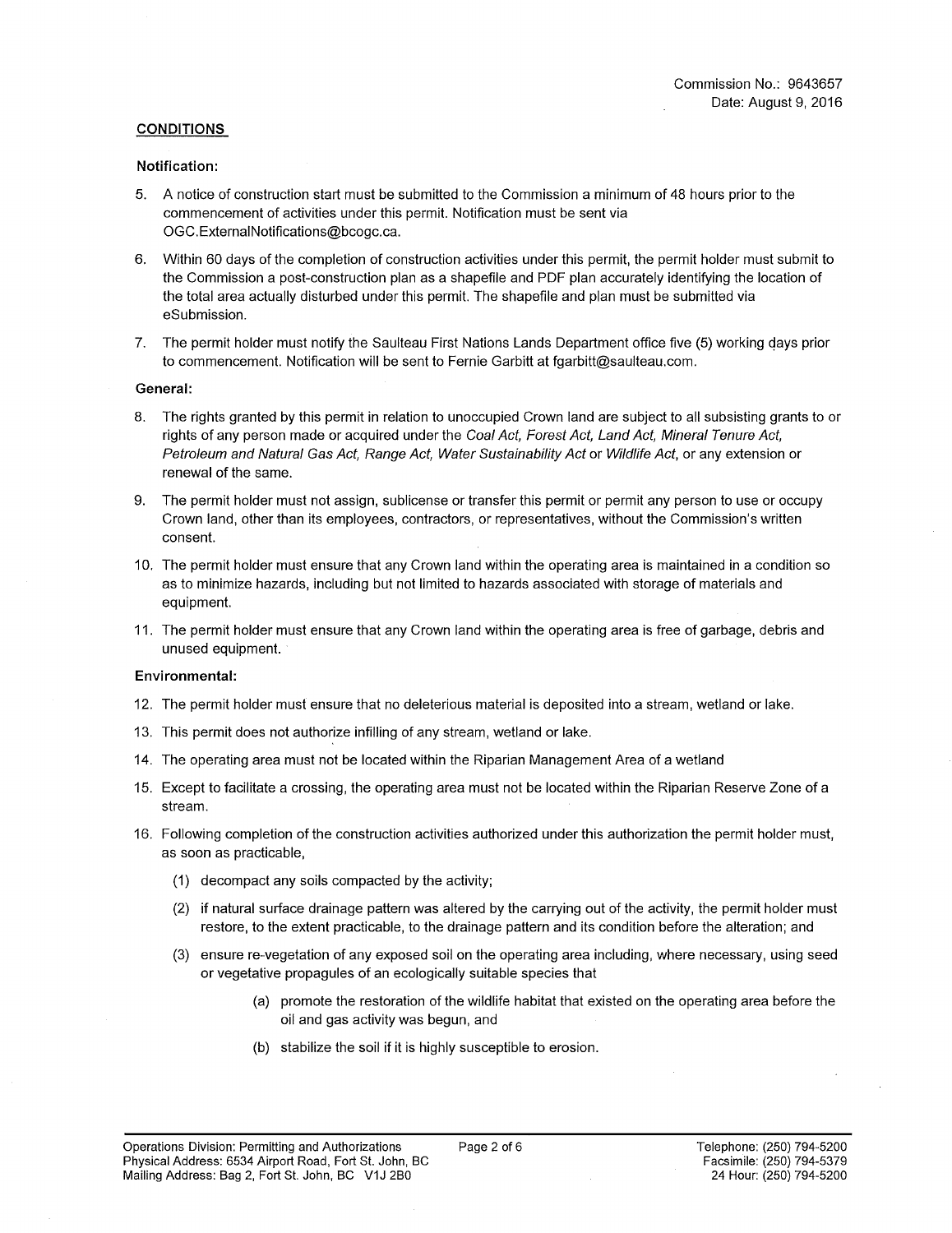## **CONDITIONS**

### **Notification:**

- 5. A notice of construction start must be submitted to the Commission a minimum of 48 hours prior to the commencement of activities under this permit. Notification must be sent via [OGC.ExternalNotifications@bcogc.ca](mailto:OGC.ExternalNotifications@bcogc.ca).
- 6. Within 60 days of the completion of construction activities under this permit, the permit holder must submit to the Commission a post-construction plan as a shapefile and PDF plan accurately identifying the location of the total area actually disturbed under this permit. The shapefile and plan must be submitted via eSubmission.
- 7. The permit holder must notify the Saulteau First Nations Lands Department office five (5) working days prior to commencement. Notification will be sent to Fernie Garbitt at [fgarbitt@saulteau.com](mailto:fgarbitt@saulteau.com).

## **General:**

- 8. The rights granted by this permit in relation to unoccupied Crown land are subject to all subsisting grants to or rights of any person made or acquired under the *Coal Act, Forest Act, Land Act, Mineral Tenure Act, Petroleum and Natural Gas Act, Range Act, Water Sustainability Act* or *Wildlife Act,* or any extension or renewal of the same.
- 9. The permit holder must not assign, sublicense or transfer this permit or permit any person to use or occupy Crown land, other than its employees, contractors, or representatives, without the Commission's written consent.
- 10. The permit holder must ensure that any Crown land within the operating area is maintained in a condition so as to minimize hazards, including but not limited to hazards associated with storage of materials and equipment.
- 11. The permit holder must ensure that any Crown land within the operating area is free of garbage, debris and unused equipment.

## **Environmental:**

- 12. The permit holder must ensure that no deleterious material is deposited into a stream, wetland or lake.
- 13. This permit does not authorize infilling of any stream, wetland or lake.
- 14. The operating area must not be located within the Riparian Management Area of a wetland
- 15. Except to facilitate a crossing, the operating area must not be located within the Riparian Reserve Zone of a stream.
- 16. Following completion of the construction activities authorized under this authorization the permit holder must, as soon as practicable,
	- (1) decompact any soils compacted by the activity;
	- (2) if natural surface drainage pattern was altered by the carrying out of the activity, the permit holder must restore, to the extent practicable, to the drainage pattern and its condition before the alteration; and
	- (3) ensure re-vegetation of any exposed soil on the operating area including, where necessary, using seed or vegetative propagules of an ecologically suitable species that
		- (a) promote the restoration of the wildlife habitat that existed on the operating area before the oil and gas activity was begun, and
		- (b) stabilize the soil if it is highly susceptible to erosion.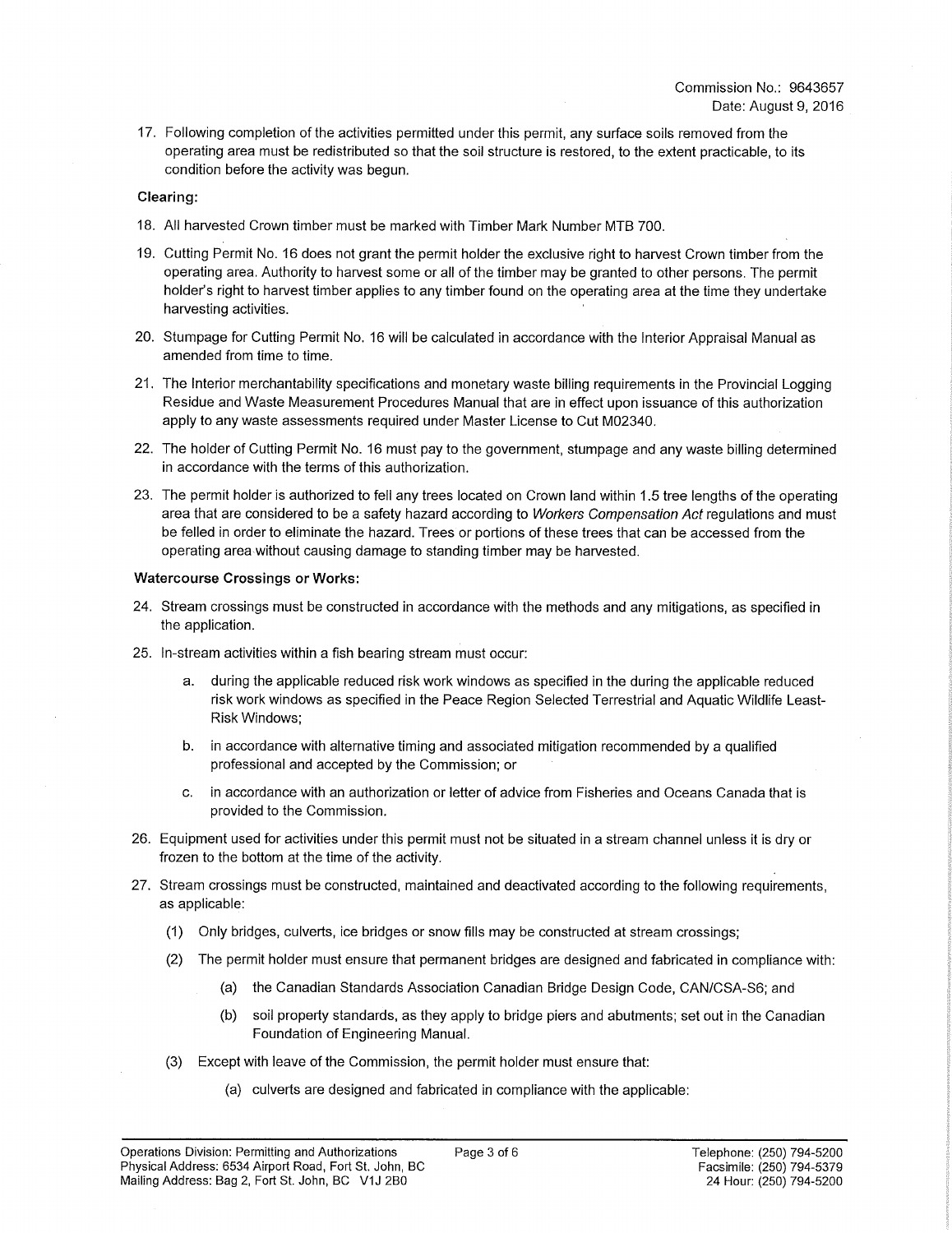17. Following completion of the activities permitted under this permit, any surface soils removed from the operating area must be redistributed so that the soil structure is restored, to the extent practicable, to its condition before the activity was begun.

## **Clearing:**

- 18. All harvested Crown timber must be marked with Timber Mark Number MTB 700.
- 19. Cutting Permit No. 16 does not grant the permit holder the exclusive right to harvest Crown timber from the operating area. Authority to harvest some or all of the timber may be granted to other persons. The permit holder's right to harvest timber applies to any timber found on the operating area at the time they undertake harvesting activities.
- 20. Stumpage for Cutting Permit No. 16 will be calculated in accordance with the Interior Appraisal Manual as amended from time to time.
- 21. The Interior merchantability specifications and monetary waste billing requirements in the Provincial Logging Residue and Waste Measurement Procedures Manual that are in effect upon issuance of this authorization apply to any waste assessments required under Master License to Cut M02340.
- 22. The holder of Cutting Permit No. 16 must pay to the government, stumpage and any waste billing determined in accordance with the terms of this authorization.
- 23. The permit holder is authorized to fell any trees located on Crown land within 1.5 tree lengths of the operating area that are considered to be a safety hazard according to *Workers Compensation Act* regulations and must be felled in order to eliminate the hazard. Trees or portions of these trees that can be accessed from the operating area without causing damage to standing timber may be harvested.

## **Watercourse Crossings or Works:**

- 24. Stream crossings must be constructed in accordance with the methods and any mitigations, as specified in the application.
- 25. In-stream activities within a fish bearing stream must occur:
	- during the applicable reduced risk work windows as specified in the during the applicable reduced risk work windows as specified in the Peace Region Selected Terrestrial and Aquatic Wildlife Least-Risk Windows;
	- b. in accordance with alternative timing and associated mitigation recommended by a qualified professional and accepted by the Commission; or
	- c. in accordance with an authorization or letter of advice from Fisheries and Oceans Canada that is provided to the Commission.
- 26. Equipment used for activities under this permit must not be situated in a stream channel unless it is dry or frozen to the bottom at the time of the activity.
- 27. Stream crossings must be constructed, maintained and deactivated according to the following requirements, as applicable:
	- (1) Only bridges, culverts, ice bridges or snow fills may be constructed at stream crossings;
	- (2) The permit holder must ensure that permanent bridges are designed and fabricated in compliance with:
		- (a) the Canadian Standards Association Canadian Bridge Design Code, CAN/CSA-S6; and
		- (b) soil property standards, as they apply to bridge piers and abutments; set out in the Canadian Foundation of Engineering Manual.
	- (3) Except with leave of the Commission, the permit holder must ensure that:
		- (a) culverts are designed and fabricated in compliance with the applicable: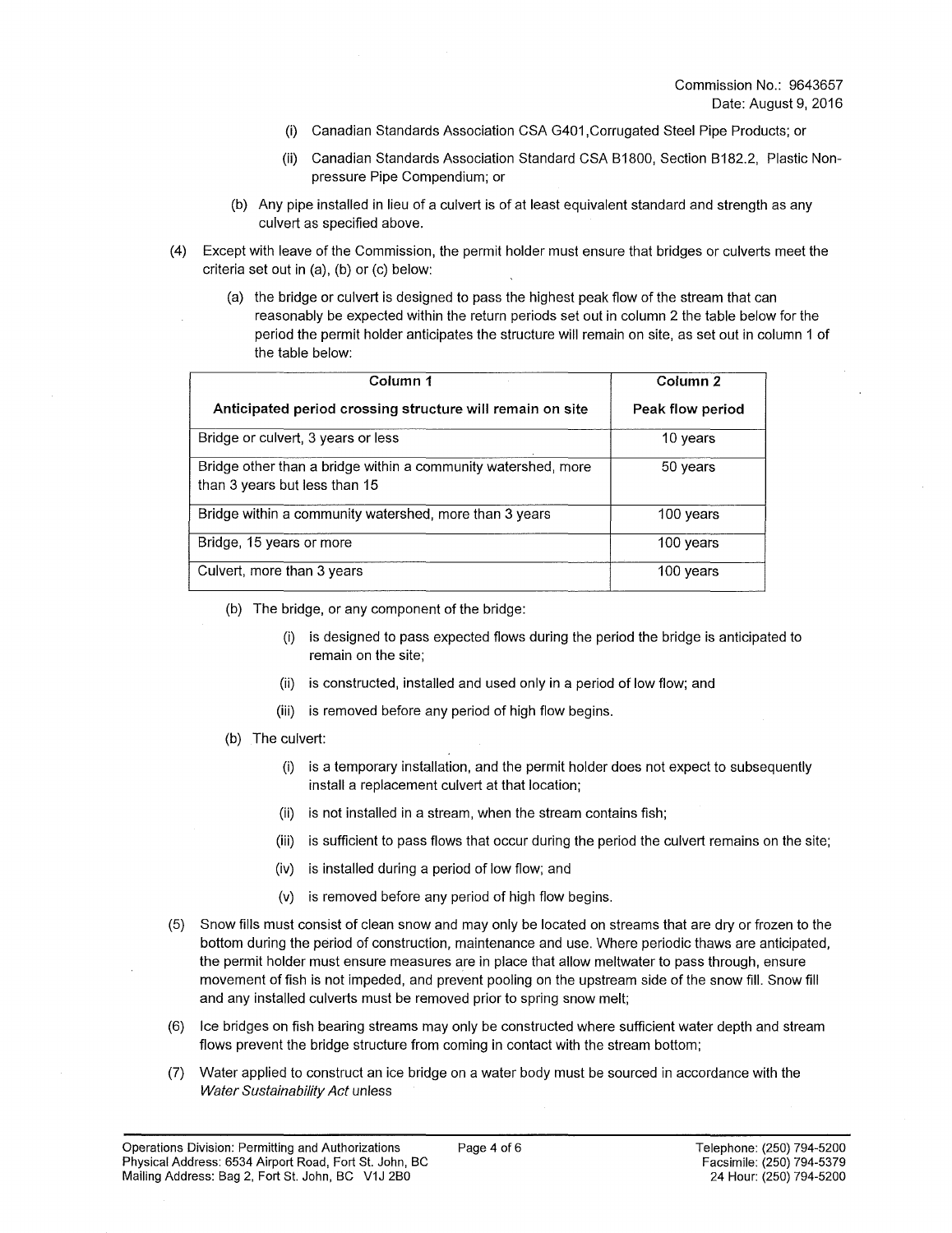- (i) Canadian Standards Association CSA G401,Corrugated Steel Pipe Products; or
- (ii) Canadian Standards Association Standard CSA B1800, Section B182.2, Plastic Nonpressure Pipe Compendium; or
- (b) Any pipe installed in lieu of a culvert is of at least equivalent standard and strength as any culvert as specified above.
- (4) Except with leave of the Commission, the permit holder must ensure that bridges or culverts meet the criteria set out in (a), (b) or (c) below:
	- (a) the bridge or culvert is designed to pass the highest peak flow of the stream that can reasonably be expected within the return periods set out in column 2 the table below for the period the permit holder anticipates the structure will remain on site, as set out in column 1 of the table below:

| Column 1                                                                                       | Column <sub>2</sub> |
|------------------------------------------------------------------------------------------------|---------------------|
| Anticipated period crossing structure will remain on site                                      | Peak flow period    |
| Bridge or culvert, 3 years or less                                                             | 10 years            |
| Bridge other than a bridge within a community watershed, more<br>than 3 years but less than 15 | 50 years            |
| Bridge within a community watershed, more than 3 years                                         | 100 years           |
| Bridge, 15 years or more                                                                       | 100 years           |
| Culvert, more than 3 years                                                                     | 100 years           |

- (b) The bridge, or any component of the bridge:
	- is designed to pass expected flows during the period the bridge is anticipated to remain on the site;
	- (ii) is constructed, installed and used only in a period of low flow; and
	- (iii) is removed before any period of high flow begins.
- (b) The culvert:
	- (i) is a temporary installation, and the permit holder does not expect to subsequently install a replacement culvert at that location;
	- (ii) is not installed in a stream, when the stream contains fish;
	- (iii) is sufficient to pass flows that occur during the period the culvert remains on the site;
	- (iv) is installed during a period of low flow; and
	- (v) is removed before any period of high flow begins.
- (5) Snow fills must consist of clean snow and may only be located on streams that are dry or frozen to the bottom during the period of construction, maintenance and use. Where periodic thaws are anticipated, the permit holder must ensure measures are in place that allow meltwater to pass through, ensure movement offish is not impeded, and prevent pooling on the upstream side of the snow fill. Snow fill and any installed culverts must be removed prior to spring snow melt;
- (6) Ice bridges on fish bearing streams may only be constructed where sufficient water depth and stream flows prevent the bridge structure from coming in contact with the stream bottom;
- (7) Water applied to construct an ice bridge on a water body must be sourced in accordance with the *Water Sustainability Act* unless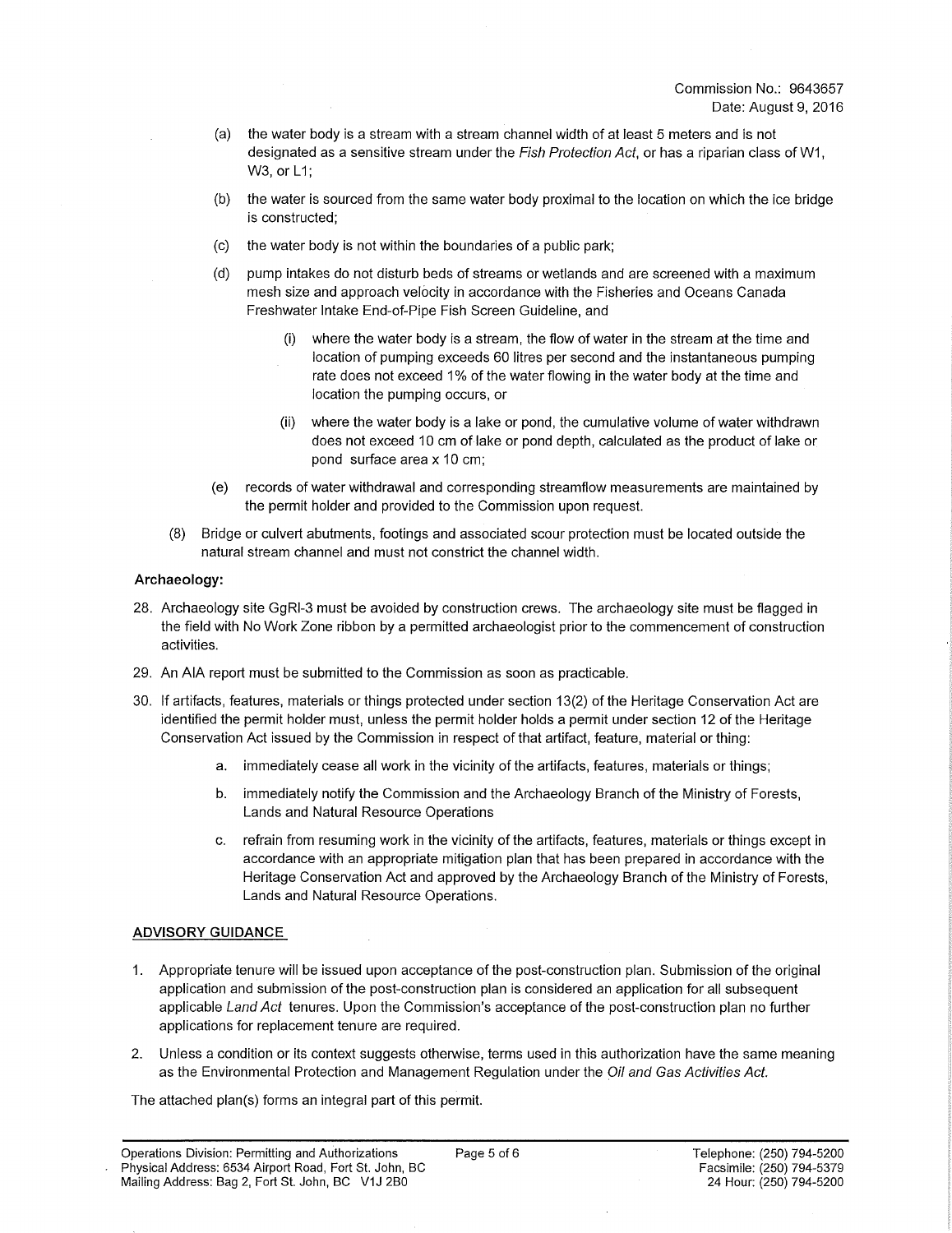- (a) the water body is a stream with a stream channel width of at least 5 meters and is not designated as a sensitive stream under the *Fish Protection Act,* or has a riparian class of W1, W3, or L1;
- (b) the water is sourced from the same water body proximal to the location on which the ice bridge is constructed;
- (c) the water body is not within the boundaries of a public park;
- (d) pump intakes do not disturb beds of streams or wetlands and are screened with a maximum mesh size and approach velocity in accordance with the Fisheries and Oceans Canada Freshwater Intake End-of-Pipe Fish Screen Guideline, and
	- (i) where the water body is a stream, the flow of water in the stream at the time and location of pumping exceeds 60 litres per second and the instantaneous pumping rate does not exceed 1% of the water flowing in the water body at the time and location the pumping occurs, or
	- (ii) where the water body is a lake or pond, the cumulative volume of water withdrawn does not exceed 10 cm of lake or pond depth, calculated as the product of lake or pond surface area x 10 cm;
- (e) records of water withdrawal and corresponding streamflow measurements are maintained by the permit holder and provided to the Commission upon request.
- (8) Bridge or culvert abutments, footings and associated scour protection must be located outside the natural stream channel and must not constrict the channel width.

## **Archaeology:**

- 28. Archaeology site GgRI-3 must be avoided by construction crews. The archaeology site must be flagged in the field with No Work Zone ribbon by a permitted archaeologist prior to the commencement of construction activities.
- 29. An AIA report must be submitted to the Commission as soon as practicable.
- 30. If artifacts, features, materials or things protected under section 13(2) of the Heritage Conservation Act are identified the permit holder must, unless the permit holder holds a permit under section 12 of the Heritage Conservation Act issued by the Commission in respect of that artifact, feature, material or thing:
	- a. immediately cease all work in the vicinity of the artifacts, features, materials or things;
	- b. immediately notify the Commission and the Archaeology Branch of the Ministry of Forests, Lands and Natural Resource Operations
	- c. refrain from resuming work in the vicinity of the artifacts, features, materials or things except in accordance with an appropriate mitigation plan that has been prepared in accordance with the Heritage Conservation Act and approved by the Archaeology Branch of the Ministry of Forests, Lands and Natural Resource Operations.

## **ADVISORY GUIDANCE**

- 1. Appropriate tenure will be issued upon acceptance of the post-construction plan. Submission of the original application and submission of the post-construction plan is considered an application for all subsequent applicable *Land Act* tenures. Upon the Commission's acceptance of the post-construction plan no further applications for replacement tenure are required.
- 2. Unless a condition or its context suggests otherwise, terms used in this authorization have the same meaning as the Environmental Protection and Management Regulation under the *Oil and Gas Activities Act,*

The attached plan(s) forms an integral part of this permit.